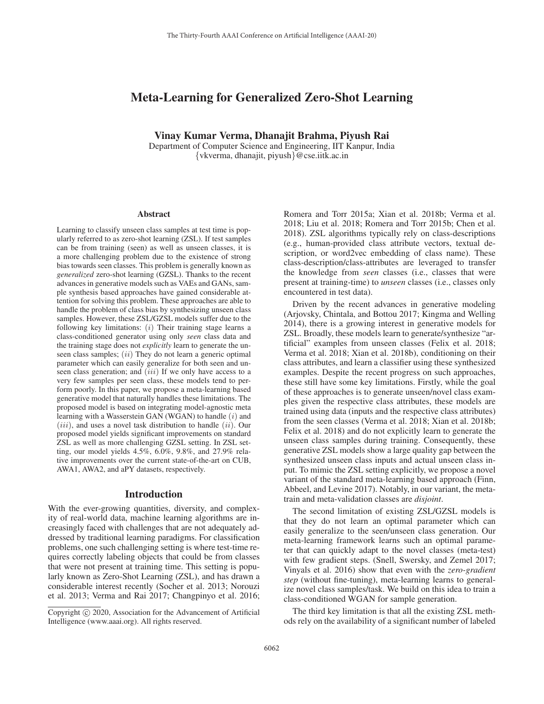# Meta-Learning for Generalized Zero-Shot Learning

Vinay Kumar Verma, Dhanajit Brahma, Piyush Rai

Department of Computer Science and Engineering, IIT Kanpur, India {vkverma, dhanajit, piyush}@cse.iitk.ac.in

#### Abstract

Learning to classify unseen class samples at test time is popularly referred to as zero-shot learning (ZSL). If test samples can be from training (seen) as well as unseen classes, it is a more challenging problem due to the existence of strong bias towards seen classes. This problem is generally known as *generalized* zero-shot learning (GZSL). Thanks to the recent advances in generative models such as VAEs and GANs, sample synthesis based approaches have gained considerable attention for solving this problem. These approaches are able to handle the problem of class bias by synthesizing unseen class samples. However, these ZSL/GZSL models suffer due to the following key limitations:  $(i)$  Their training stage learns a class-conditioned generator using only *seen* class data and the training stage does not *explicitly* learn to generate the unseen class samples;  $(ii)$  They do not learn a generic optimal parameter which can easily generalize for both seen and unseen class generation; and (iii) If we only have access to a very few samples per seen class, these models tend to perform poorly. In this paper, we propose a meta-learning based generative model that naturally handles these limitations. The proposed model is based on integrating model-agnostic meta learning with a Wasserstein GAN (WGAN) to handle  $(i)$  and  $(iii)$ , and uses a novel task distribution to handle  $(ii)$ . Our proposed model yields significant improvements on standard ZSL as well as more challenging GZSL setting. In ZSL setting, our model yields 4.5%, 6.0%, 9.8%, and 27.9% relative improvements over the current state-of-the-art on CUB, AWA1, AWA2, and aPY datasets, respectively.

#### Introduction

With the ever-growing quantities, diversity, and complexity of real-world data, machine learning algorithms are increasingly faced with challenges that are not adequately addressed by traditional learning paradigms. For classification problems, one such challenging setting is where test-time requires correctly labeling objects that could be from classes that were not present at training time. This setting is popularly known as Zero-Shot Learning (ZSL), and has drawn a considerable interest recently (Socher et al. 2013; Norouzi et al. 2013; Verma and Rai 2017; Changpinyo et al. 2016;

Romera and Torr 2015a; Xian et al. 2018b; Verma et al. 2018; Liu et al. 2018; Romera and Torr 2015b; Chen et al. 2018). ZSL algorithms typically rely on class-descriptions (e.g., human-provided class attribute vectors, textual description, or word2vec embedding of class name). These class-description/class-attributes are leveraged to transfer the knowledge from *seen* classes (i.e., classes that were present at training-time) to *unseen* classes (i.e., classes only encountered in test data).

Driven by the recent advances in generative modeling (Arjovsky, Chintala, and Bottou 2017; Kingma and Welling 2014), there is a growing interest in generative models for ZSL. Broadly, these models learn to generate/synthesize "artificial" examples from unseen classes (Felix et al. 2018; Verma et al. 2018; Xian et al. 2018b), conditioning on their class attributes, and learn a classifier using these synthesized examples. Despite the recent progress on such approaches, these still have some key limitations. Firstly, while the goal of these approaches is to generate unseen/novel class examples given the respective class attributes, these models are trained using data (inputs and the respective class attributes) from the seen classes (Verma et al. 2018; Xian et al. 2018b; Felix et al. 2018) and do not explicitly learn to generate the unseen class samples during training. Consequently, these generative ZSL models show a large quality gap between the synthesized unseen class inputs and actual unseen class input. To mimic the ZSL setting explicitly, we propose a novel variant of the standard meta-learning based approach (Finn, Abbeel, and Levine 2017). Notably, in our variant, the metatrain and meta-validation classes are *disjoint*.

The second limitation of existing ZSL/GZSL models is that they do not learn an optimal parameter which can easily generalize to the seen/unseen class generation. Our meta-learning framework learns such an optimal parameter that can quickly adapt to the novel classes (meta-test) with few gradient steps. (Snell, Swersky, and Zemel 2017; Vinyals et al. 2016) show that even with the *zero-gradient step* (without fine-tuning), meta-learning learns to generalize novel class samples/task. We build on this idea to train a class-conditioned WGAN for sample generation.

The third key limitation is that all the existing ZSL methods rely on the availability of a significant number of labeled

Copyright  $\odot$  2020, Association for the Advancement of Artificial Intelligence (www.aaai.org). All rights reserved.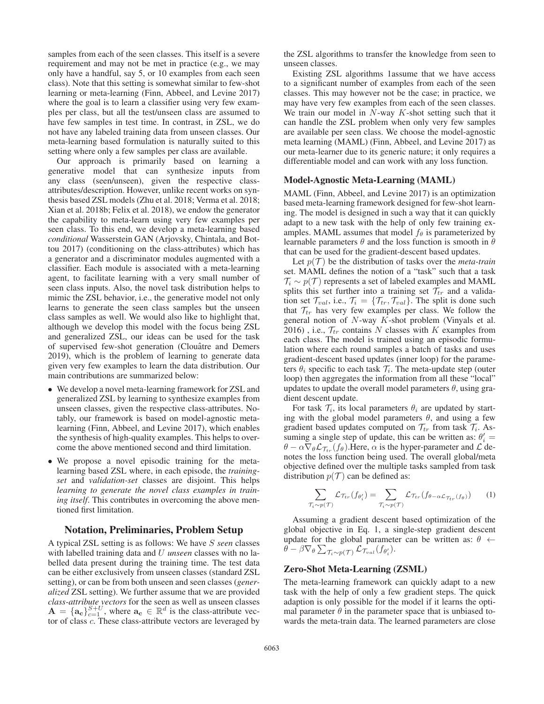samples from each of the seen classes. This itself is a severe requirement and may not be met in practice (e.g., we may only have a handful, say 5, or 10 examples from each seen class). Note that this setting is somewhat similar to few-shot learning or meta-learning (Finn, Abbeel, and Levine 2017) where the goal is to learn a classifier using very few examples per class, but all the test/unseen class are assumed to have few samples in test time. In contrast, in ZSL, we do not have any labeled training data from unseen classes. Our meta-learning based formulation is naturally suited to this setting where only a few samples per class are available.

Our approach is primarily based on learning a generative model that can synthesize inputs from any class (seen/unseen), given the respective classattributes/description. However, unlike recent works on synthesis based ZSL models (Zhu et al. 2018; Verma et al. 2018; Xian et al. 2018b; Felix et al. 2018), we endow the generator the capability to meta-learn using very few examples per seen class. To this end, we develop a meta-learning based *conditional* Wasserstein GAN (Arjovsky, Chintala, and Bottou 2017) (conditioning on the class-attributes) which has a generator and a discriminator modules augmented with a classifier. Each module is associated with a meta-learning agent, to facilitate learning with a very small number of seen class inputs. Also, the novel task distribution helps to mimic the ZSL behavior, i.e., the generative model not only learns to generate the seen class samples but the unseen class samples as well. We would also like to highlight that, although we develop this model with the focus being ZSL and generalized ZSL, our ideas can be used for the task of supervised few-shot generation (Clouâtre and Demers 2019), which is the problem of learning to generate data given very few examples to learn the data distribution. Our main contributions are summarized below:

- We develop a novel meta-learning framework for ZSL and generalized ZSL by learning to synthesize examples from unseen classes, given the respective class-attributes. Notably, our framework is based on model-agnostic metalearning (Finn, Abbeel, and Levine 2017), which enables the synthesis of high-quality examples. This helps to overcome the above mentioned second and third limitation.
- We propose a novel episodic training for the metalearning based ZSL where, in each episode, the *trainingset* and *validation-set* classes are disjoint. This helps *learning to generate the novel class examples in training itself*. This contributes in overcoming the above mentioned first limitation.

#### Notation, Preliminaries, Problem Setup

A typical ZSL setting is as follows: We have S *seen* classes with labelled training data and U *unseen* classes with no labelled data present during the training time. The test data can be either exclusively from unseen classes (standard ZSL setting), or can be from both unseen and seen classes (*generalized* ZSL setting). We further assume that we are provided *class-attribute vectors* for the seen as well as unseen classes  $\mathbf{A} = {\mathbf{a_c}}_{c=1}^{S+U}$ , where  $\mathbf{a_c} \in \mathbb{R}^d$  is the class-attribute vector of class c. These class-attribute vectors are leveraged by the ZSL algorithms to transfer the knowledge from seen to unseen classes.

Existing ZSL algorithms 1assume that we have access to a significant number of examples from each of the seen classes. This may however not be the case; in practice, we may have very few examples from each of the seen classes. We train our model in  $N$ -way  $K$ -shot setting such that it can handle the ZSL problem when only very few samples are available per seen class. We choose the model-agnostic meta learning (MAML) (Finn, Abbeel, and Levine 2017) as our meta-learner due to its generic nature; it only requires a differentiable model and can work with any loss function.

## Model-Agnostic Meta-Learning (MAML)

MAML (Finn, Abbeel, and Levine 2017) is an optimization based meta-learning framework designed for few-shot learning. The model is designed in such a way that it can quickly adapt to a new task with the help of only few training examples. MAML assumes that model  $f_\theta$  is parameterized by learnable parameters  $\theta$  and the loss function is smooth in  $\theta$ that can be used for the gradient-descent based updates.

Let  $p(\mathcal{T})$  be the distribution of tasks over the *meta-train* set. MAML defines the notion of a "task" such that a task  $\mathcal{T}_i \sim p(\mathcal{T})$  represents a set of labeled examples and MAML splits this set further into a training set  $\mathcal{T}_{tr}$  and a validation set  $\mathcal{T}_{val}$ , i.e.,  $\mathcal{T}_i = {\mathcal{T}_{tr}, \mathcal{T}_{val}}$ . The split is done such that  $\mathcal{T}_{tr}$  has very few examples per class. We follow the general notion of  $N$ -way  $K$ -shot problem (Vinyals et al. 2016), i.e.,  $\mathcal{T}_{tr}$  contains N classes with K examples from each class. The model is trained using an episodic formulation where each round samples a batch of tasks and uses gradient-descent based updates (inner loop) for the parameters  $\theta_i$  specific to each task  $\mathcal{T}_i$ . The meta-update step (outer loop) then aggregates the information from all these "local" updates to update the overall model parameters  $\theta$ , using gradient descent update.

For task  $\mathcal{T}_i$ , its local parameters  $\theta_i$  are updated by starting with the global model parameters  $\theta$ , and using a few gradient based updates computed on  $\mathcal{T}_{tr}$  from task  $\mathcal{T}_i$ . Assuming a single step of update, this can be written as:  $\theta_i' =$  $\theta - \alpha \nabla_{\theta} \mathcal{L}_{\mathcal{T}_{tr}}(f_{\theta})$ . Here,  $\alpha$  is the hyper-parameter and  $\mathcal{L}$  denotes the loss function being used. The overall global/meta objective defined over the multiple tasks sampled from task distribution  $p(\mathcal{T})$  can be defined as:

$$
\sum_{\mathcal{T}_{i} \sim p(\mathcal{T})} \mathcal{L}_{\mathcal{T}_{tr}}(f_{\theta'_{i}}) = \sum_{\mathcal{T}_{i} \sim p(\mathcal{T})} \mathcal{L}_{\mathcal{T}_{tr}}(f_{\theta - \alpha \mathcal{L}_{\mathcal{T}_{tr}}(f_{\theta})}) \qquad (1)
$$

Assuming a gradient descent based optimization of the global objective in Eq. 1, a single-step gradient descent update for the global parameter can be written as:  $\theta \leftarrow$  $\theta - \beta \nabla_{\theta} \sum_{\mathcal{T}_i \sim p(\mathcal{T})} \mathcal{L}_{\mathcal{T}_{val}}(f_{\theta'_i}).$ 

#### Zero-Shot Meta-Learning (ZSML)

The meta-learning framework can quickly adapt to a new task with the help of only a few gradient steps. The quick adaption is only possible for the model if it learns the optimal parameter  $\theta$  in the parameter space that is unbiased towards the meta-train data. The learned parameters are close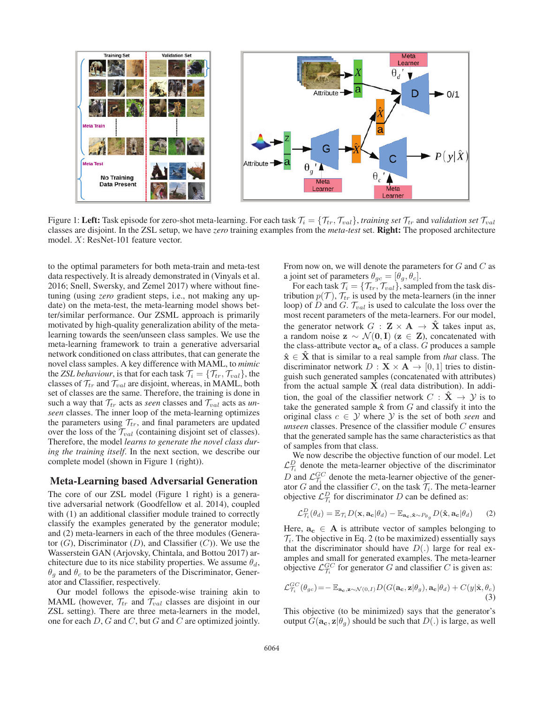

Figure 1: Left: Task episode for zero-shot meta-learning. For each task  $\mathcal{T}_i = \{\mathcal{T}_{tr}, \mathcal{T}_{val}\}\$ , *training set*  $\mathcal{T}_{tr}$  and *validation set*  $\mathcal{T}_{val}$ classes are disjoint. In the ZSL setup, we have *zero* training examples from the *meta-test* set. Right: The proposed architecture model. X: ResNet-101 feature vector.

to the optimal parameters for both meta-train and meta-test data respectively. It is already demonstrated in (Vinyals et al. 2016; Snell, Swersky, and Zemel 2017) where without finetuning (using *zero* gradient steps, i.e., not making any update) on the meta-test, the meta-learning model shows better/similar performance. Our ZSML approach is primarily motivated by high-quality generalization ability of the metalearning towards the seen/unseen class samples. We use the meta-learning framework to train a generative adversarial network conditioned on class attributes, that can generate the novel class samples. A key difference with MAML, to *mimic* the *ZSL behaviour*, is that for each task  $\mathcal{T}_i = \{\mathcal{T}_{tr}, \mathcal{T}_{val}\}\$ , the classes of  $\mathcal{T}_{tr}$  and  $\mathcal{T}_{val}$  are disjoint, whereas, in MAML, both set of classes are the same. Therefore, the training is done in such a way that  $\mathcal{T}_{tr}$  acts as *seen* classes and  $\mathcal{T}_{val}$  acts as *unseen* classes. The inner loop of the meta-learning optimizes the parameters using  $\mathcal{T}_{tr}$ , and final parameters are updated over the loss of the  $\mathcal{T}_{val}$  (containing disjoint set of classes). Therefore, the model *learns to generate the novel class during the training itself*. In the next section, we describe our complete model (shown in Figure 1 (right)).

# Meta-Learning based Adversarial Generation

The core of our ZSL model (Figure 1 right) is a generative adversarial network (Goodfellow et al. 2014), coupled with (1) an additional classifier module trained to correctly classify the examples generated by the generator module; and (2) meta-learners in each of the three modules (Generator  $(G)$ , Discriminator  $(D)$ , and Classifier  $(C)$ ). We use the Wasserstein GAN (Arjovsky, Chintala, and Bottou 2017) architecture due to its nice stability properties. We assume  $\theta_d$ ,  $\theta_q$  and  $\theta_c$  to be the parameters of the Discriminator, Generator and Classifier, respectively.

Our model follows the episode-wise training akin to MAML (however,  $\mathcal{T}_{tr}$  and  $\mathcal{T}_{val}$  classes are disjoint in our ZSL setting). There are three meta-learners in the model, one for each  $D$ ,  $G$  and  $C$ , but  $G$  and  $C$  are optimized jointly. From now on, we will denote the parameters for G and C as a joint set of parameters  $\theta_{gc} = [\theta_{g}, \theta_{c}]$ .

For each task  $\mathcal{T}_i = \{\mathcal{T}_{tr}, \mathcal{T}_{val}\}$ , sampled from the task distribution  $p(\mathcal{T})$ ,  $\mathcal{T}_{tr}$  is used by the meta-learners (in the inner loop) of D and G.  $\mathcal{T}_{val}$  is used to calculate the loss over the most recent parameters of the meta-learners. For our model, the generator network  $G : \mathbf{Z} \times \mathbf{A} \to \mathbf{X}$  takes input as, a random noise **z** ∼  $\mathcal{N}(0, I)$  (**z** ∈ **Z**), concatenated with the class-attribute vector **a<sup>c</sup>** of a class. G produces a sample  $\hat{\mathbf{x}} \in \hat{\mathbf{X}}$  that is similar to a real sample from *that* class. The discriminator network  $D : \mathbf{X} \times \mathbf{A} \to [0, 1]$  tries to distinguish such generated samples (concatenated with attributes) from the actual sample **X** (real data distribution). In addition, the goal of the classifier network  $C : \hat{X} \to Y$  is to take the generated sample  $\hat{\mathbf{x}}$  from  $G$  and classify it into the original class  $c \in \mathcal{Y}$  where  $\mathcal{Y}$  is the set of both *seen* and *unseen* classes. Presence of the classifier module C ensures that the generated sample has the same characteristics as that of samples from that class.

We now describe the objective function of our model. Let  $\mathcal{L}_{\mathcal{T}_i}^D$  denote the meta-learner objective of the discriminator D and  $\mathcal{L}_{\tau_1}^{GC}$  denote the meta-learner objective of the generator G and the classifier C, on the task  $\mathcal{T}_i$ . The meta-learner objective  $\mathcal{L}^D_{\mathcal{T}_i}$  for discriminator D can be defined as:

$$
\mathcal{L}_{\mathcal{T}_i}^D(\theta_d) = \mathbb{E}_{\mathcal{T}_i} D(\mathbf{x}, \mathbf{a_c} | \theta_d) - \mathbb{E}_{\mathbf{a_c}, \hat{\mathbf{x}} \sim P_{\theta_g}} D(\hat{\mathbf{x}}, \mathbf{a_c} | \theta_d)
$$
(2)

Here,  $a_c \in A$  is attribute vector of samples belonging to  $\mathcal{T}_i$ . The objective in Eq. 2 (to be maximized) essentially says that the discriminator should have  $D(.)$  large for real examples and small for generated examples. The meta-learner objective  $\mathcal{L}^{GC}_{\mathcal{T}_i}$  for generator G and classifier C is given as:

$$
\mathcal{L}_{\mathcal{T}_i}^{GC}(\theta_{gc}) = -\mathbb{E}_{\mathbf{a_c},\mathbf{z}\sim\mathcal{N}(0,I)}D(G(\mathbf{a_c},\mathbf{z}|\theta_g),\mathbf{a_c}|\theta_d) + C(y|\hat{\mathbf{x}},\theta_c)
$$
\n(3)

This objective (to be minimized) says that the generator's output  $G(\mathbf{a_c}, \mathbf{z}|\theta_a)$  should be such that  $D(.)$  is large, as well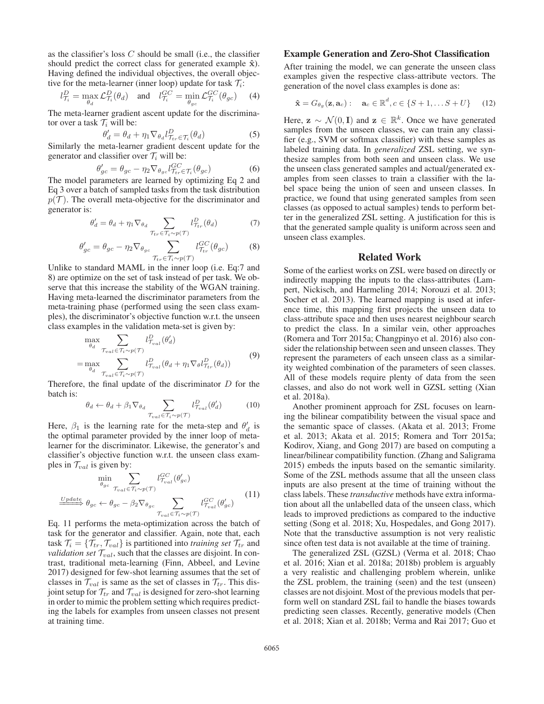as the classifier's loss C should be small (i.e., the classifier should predict the correct class for generated example **xˆ**). Having defined the individual objectives, the overall objective for the meta-learner (inner loop) update for task  $\mathcal{T}_i$ :

$$
l_{\mathcal{T}_i}^D = \max_{\theta_d} \mathcal{L}_{\mathcal{T}_i}^D(\theta_d) \quad \text{and} \quad l_{\mathcal{T}_i}^{GC} = \min_{\theta_{gc}} \mathcal{L}_{\mathcal{T}_i}^{GC}(\theta_{gc}) \tag{4}
$$

The meta-learner gradient ascent update for the discriminator over a task  $\mathcal{T}_i$  will be:

$$
\theta'_d = \theta_d + \eta_1 \nabla_{\theta_d} l_{\tau_{tr} \in \mathcal{T}_i}^D(\theta_d)
$$
\n<sup>(5)</sup>

Similarly the meta-learner gradient descent update for the generator and classifier over  $\mathcal{T}_i$  will be:

$$
\theta_{gc}' = \theta_{gc} - \eta_2 \nabla_{\theta_{gc}} l_{Trc}^{GC}(\theta_{gc})
$$
\n(6)

The model parameters are learned by optimizing Eq 2 and Eq 3 over a batch of sampled tasks from the task distribution  $p(\mathcal{T})$ . The overall meta-objective for the discriminator and generator is:

$$
\theta'_d = \theta_d + \eta_1 \nabla_{\theta_d} \sum_{\mathcal{T}_{tr} \in \mathcal{T}_i \sim p(\mathcal{T})} l_{\mathcal{T}_{tr}}^D(\theta_d) \tag{7}
$$

$$
\theta_{gc}' = \theta_{gc} - \eta_2 \nabla_{\theta_{gc}} \sum_{\mathcal{T}_{tr} \in \mathcal{T}_i \sim p(\mathcal{T})} l_{\mathcal{T}_{tr}}^{GC}(\theta_{gc}) \tag{8}
$$

Unlike to standard MAML in the inner loop (i.e. Eq:7 and 8) are optimize on the set of task instead of per task. We observe that this increase the stability of the WGAN training. Having meta-learned the discriminator parameters from the meta-training phase (performed using the seen class examples), the discriminator's objective function w.r.t. the unseen class examples in the validation meta-set is given by:

$$
\max_{\theta_d} \sum_{\tau_{val} \in \mathcal{T}_i \sim p(\mathcal{T})} l_{\tau_{val}}^p(\theta'_d)
$$
\n
$$
= \max_{\theta_d} \sum_{\tau_{val} \in \mathcal{T}_i \sim p(\mathcal{T})} l_{\tau_{val}}^p(\theta_d + \eta_1 \nabla_{\theta} l_{\tau_{tr}}^p(\theta_d))
$$
\n(9)

Therefore, the final update of the discriminator  $D$  for the batch is:

$$
\theta_d \leftarrow \theta_d + \beta_1 \nabla_{\theta_d} \sum_{\mathcal{T}_{val} \in \mathcal{T}_i \sim p(\mathcal{T})} l_{\mathcal{T}_{val}}^D(\theta'_d) \tag{10}
$$

Here,  $\beta_1$  is the learning rate for the meta-step and  $\theta'_d$  is the optimal parameter provided by the inner loop of metalearner for the discriminator. Likewise, the generator's and classifier's objective function w.r.t. the unseen class examples in  $\mathcal{T}_{val}$  is given by:

$$
\min_{\theta_{gc}} \sum_{\mathcal{T}_{val} \in \mathcal{T}_{i} \sim p(\mathcal{T})} l_{\mathcal{T}_{val}}^{GC}(\theta_{gc}') \newline \xrightarrow{Update} \theta_{gc} \leftarrow \theta_{gc} - \beta_2 \nabla_{\theta_{gc}} \sum_{\mathcal{T}_{val} \in \mathcal{T}_{i} \sim p(\mathcal{T})} l_{\mathcal{T}_{val}}^{GC}(\theta_{gc}') \n\tag{11}
$$

Eq. 11 performs the meta-optimization across the batch of task for the generator and classifier. Again, note that, each task  $\mathcal{T}_i = {\mathcal{T}_{tr}, \mathcal{T}_{val}}$  is partitioned into *training set*  $\mathcal{T}_{tr}$  and *validation set*  $\mathcal{T}_{val}$ , such that the classes are disjoint. In contrast, traditional meta-learning (Finn, Abbeel, and Levine 2017) designed for few-shot learning assumes that the set of classes in  $\mathcal{T}_{val}$  is same as the set of classes in  $\mathcal{T}_{tr}$ . This disjoint setup for  $\mathcal{T}_{tr}$  and  $\mathcal{T}_{val}$  is designed for zero-shot learning in order to mimic the problem setting which requires predicting the labels for examples from unseen classes not present at training time.

## Example Generation and Zero-Shot Classification

After training the model, we can generate the unseen class examples given the respective class-attribute vectors. The generation of the novel class examples is done as:

$$
\hat{\mathbf{x}} = G_{\theta_g}(\mathbf{z}, \mathbf{a}_c) : \quad \mathbf{a}_c \in \mathbb{R}^d, c \in \{S+1, \dots S+U\} \tag{12}
$$

Here,  $\mathbf{z} \sim \mathcal{N}(0, \mathbf{I})$  and  $\mathbf{z} \in \mathbb{R}^k$ . Once we have generated samples from the unseen classes, we can train any classifier (e.g., SVM or softmax classifier) with these samples as labeled training data. In *generalized* ZSL setting, we synthesize samples from both seen and unseen class. We use the unseen class generated samples and actual/generated examples from seen classes to train a classifier with the label space being the union of seen and unseen classes. In practice, we found that using generated samples from seen classes (as opposed to actual samples) tends to perform better in the generalized ZSL setting. A justification for this is that the generated sample quality is uniform across seen and unseen class examples.

#### Related Work

Some of the earliest works on ZSL were based on directly or indirectly mapping the inputs to the class-attributes (Lampert, Nickisch, and Harmeling 2014; Norouzi et al. 2013; Socher et al. 2013). The learned mapping is used at inference time, this mapping first projects the unseen data to class-attribute space and then uses nearest neighbour search to predict the class. In a similar vein, other approaches (Romera and Torr 2015a; Changpinyo et al. 2016) also consider the relationship between seen and unseen classes. They represent the parameters of each unseen class as a similarity weighted combination of the parameters of seen classes. All of these models require plenty of data from the seen classes, and also do not work well in GZSL setting (Xian et al. 2018a).

Another prominent approach for ZSL focuses on learning the bilinear compatibility between the visual space and the semantic space of classes. (Akata et al. 2013; Frome et al. 2013; Akata et al. 2015; Romera and Torr 2015a; Kodirov, Xiang, and Gong 2017) are based on computing a linear/bilinear compatibility function. (Zhang and Saligrama 2015) embeds the inputs based on the semantic similarity. Some of the ZSL methods assume that all the unseen class inputs are also present at the time of training without the class labels. These *transductive* methods have extra information about all the unlabelled data of the unseen class, which leads to improved predictions as compared to the inductive setting (Song et al. 2018; Xu, Hospedales, and Gong 2017). Note that the transductive assumption is not very realistic since often test data is not available at the time of training.

The generalized ZSL (GZSL) (Verma et al. 2018; Chao et al. 2016; Xian et al. 2018a; 2018b) problem is arguably a very realistic and challenging problem wherein, unlike the ZSL problem, the training (seen) and the test (unseen) classes are not disjoint. Most of the previous models that perform well on standard ZSL fail to handle the biases towards predicting seen classes. Recently, generative models (Chen et al. 2018; Xian et al. 2018b; Verma and Rai 2017; Guo et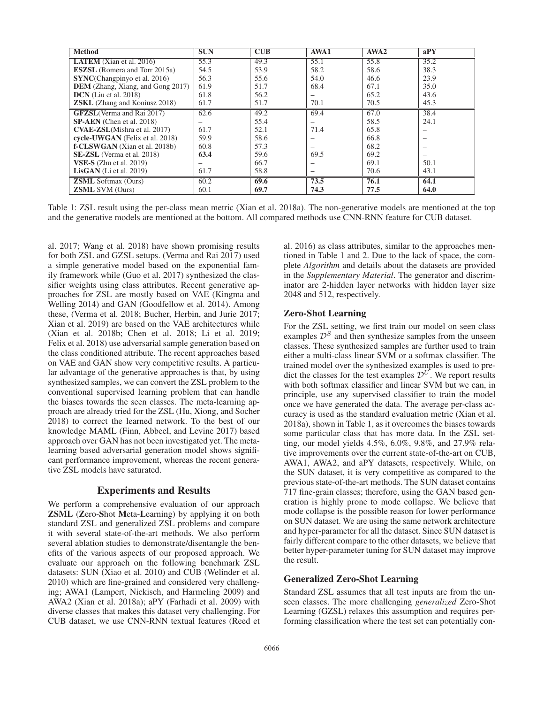| <b>Method</b>                            | <b>SUN</b>      | CUB  | AWA1 | AWA2 | a <sub>PY</sub>          |
|------------------------------------------|-----------------|------|------|------|--------------------------|
| <b>LATEM</b> (Xian et al. 2016)          | 55.3            | 49.3 | 55.1 | 55.8 | 35.2                     |
| <b>ESZSL</b> (Romera and Torr 2015a)     | 54.5            | 53.9 | 58.2 | 58.6 | 38.3                     |
| <b>SYNC</b> (Changpinyo et al. 2016)     | 56.3            | 55.6 | 54.0 | 46.6 | 23.9                     |
| <b>DEM</b> (Zhang, Xiang, and Gong 2017) | 61.9            | 51.7 | 68.4 | 67.1 | 35.0                     |
| $DCN$ (Liu et al. 2018)                  | 61.8            | 56.2 |      | 65.2 | 43.6                     |
| <b>ZSKL</b> (Zhang and Koniusz 2018)     | 61.7            | 51.7 | 70.1 | 70.5 | 45.3                     |
| <b>GFZSL</b> (Verma and Rai 2017)        | 62.6            | 49.2 | 69.4 | 67.0 | 38.4                     |
| $SP- AEN$ (Chen et al. 2018)             |                 | 55.4 |      | 58.5 | 24.1                     |
| CVAE-ZSL(Mishra et al. 2017)             | 61.7            | 52.1 | 71.4 | 65.8 |                          |
| cycle-UWGAN (Felix et al. 2018)          | 59.9            | 58.6 |      | 66.8 | -                        |
| f-CLSWGAN (Xian et al. 2018b)            | 60.8            | 57.3 |      | 68.2 | -                        |
| <b>SE-ZSL</b> (Verma et al. 2018)        | 63.4            | 59.6 | 69.5 | 69.2 | $\overline{\phantom{0}}$ |
| $VSE-S$ (Zhu et al. 2019)                | $\qquad \qquad$ | 66.7 |      | 69.1 | 50.1                     |
| $ListGAN$ (Li et al. 2019)               | 61.7            | 58.8 |      | 70.6 | 43.1                     |
| <b>ZSML</b> Softmax (Ours)               | 60.2            | 69.6 | 73.5 | 76.1 | 64.1                     |
| <b>ZSML SVM (Ours)</b>                   | 60.1            | 69.7 | 74.3 | 77.5 | 64.0                     |

Table 1: ZSL result using the per-class mean metric (Xian et al. 2018a). The non-generative models are mentioned at the top and the generative models are mentioned at the bottom. All compared methods use CNN-RNN feature for CUB dataset.

al. 2017; Wang et al. 2018) have shown promising results for both ZSL and GZSL setups. (Verma and Rai 2017) used a simple generative model based on the exponential family framework while (Guo et al. 2017) synthesized the classifier weights using class attributes. Recent generative approaches for ZSL are mostly based on VAE (Kingma and Welling 2014) and GAN (Goodfellow et al. 2014). Among these, (Verma et al. 2018; Bucher, Herbin, and Jurie 2017; Xian et al. 2019) are based on the VAE architectures while (Xian et al. 2018b; Chen et al. 2018; Li et al. 2019; Felix et al. 2018) use adversarial sample generation based on the class conditioned attribute. The recent approaches based on VAE and GAN show very competitive results. A particular advantage of the generative approaches is that, by using synthesized samples, we can convert the ZSL problem to the conventional supervised learning problem that can handle the biases towards the seen classes. The meta-learning approach are already tried for the ZSL (Hu, Xiong, and Socher 2018) to correct the learned network. To the best of our knowledge MAML (Finn, Abbeel, and Levine 2017) based approach over GAN has not been investigated yet. The metalearning based adversarial generation model shows significant performance improvement, whereas the recent generative ZSL models have saturated.

# Experiments and Results

We perform a comprehensive evaluation of our approach ZSML (Zero-Shot Meta-Learning) by applying it on both standard ZSL and generalized ZSL problems and compare it with several state-of-the-art methods. We also perform several ablation studies to demonstrate/disentangle the benefits of the various aspects of our proposed approach. We evaluate our approach on the following benchmark ZSL datasets: SUN (Xiao et al. 2010) and CUB (Welinder et al. 2010) which are fine-grained and considered very challenging; AWA1 (Lampert, Nickisch, and Harmeling 2009) and AWA2 (Xian et al. 2018a); aPY (Farhadi et al. 2009) with diverse classes that makes this dataset very challenging. For CUB dataset, we use CNN-RNN textual features (Reed et

al. 2016) as class attributes, similar to the approaches mentioned in Table 1 and 2. Due to the lack of space, the complete *Algorithm* and details about the datasets are provided in the *Supplementary Material*. The generator and discriminator are 2-hidden layer networks with hidden layer size 2048 and 512, respectively.

### Zero-Shot Learning

For the ZSL setting, we first train our model on seen class examples  $\mathcal{D}^{S}$  and then synthesize samples from the unseen classes. These synthesized samples are further used to train either a multi-class linear SVM or a softmax classifier. The trained model over the synthesized examples is used to predict the classes for the test examples  $\mathcal{D}^{U}$ . We report results with both softmax classifier and linear SVM but we can, in principle, use any supervised classifier to train the model once we have generated the data. The average per-class accuracy is used as the standard evaluation metric (Xian et al. 2018a), shown in Table 1, as it overcomes the biases towards some particular class that has more data. In the ZSL setting, our model yields 4.5%, 6.0%, 9.8%, and 27.9% relative improvements over the current state-of-the-art on CUB, AWA1, AWA2, and aPY datasets, respectively. While, on the SUN dataset, it is very competitive as compared to the previous state-of-the-art methods. The SUN dataset contains 717 fine-grain classes; therefore, using the GAN based generation is highly prone to mode collapse. We believe that mode collapse is the possible reason for lower performance on SUN dataset. We are using the same network architecture and hyper-parameter for all the dataset. Since SUN dataset is fairly different compare to the other datasets, we believe that better hyper-parameter tuning for SUN dataset may improve the result.

#### Generalized Zero-Shot Learning

Standard ZSL assumes that all test inputs are from the unseen classes. The more challenging *generalized* Zero-Shot Learning (GZSL) relaxes this assumption and requires performing classification where the test set can potentially con-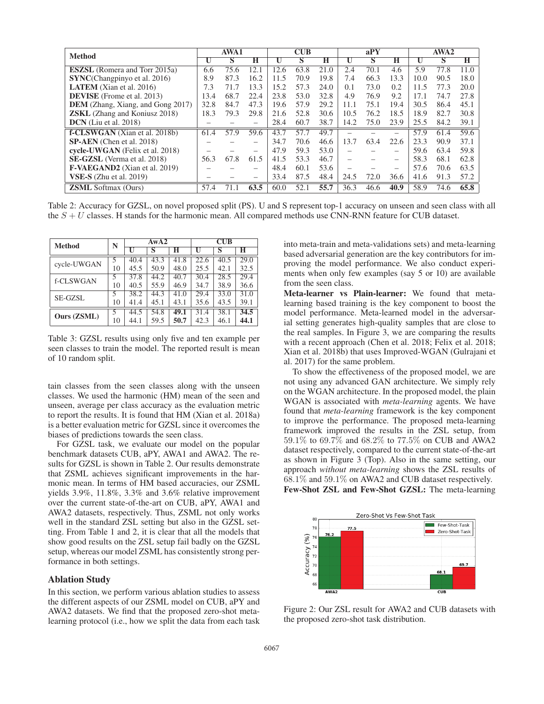| <b>Method</b>                            | <b>AWA1</b> |      | <b>CUB</b> |              |      | $a$ PY |      |      | AWA2                     |      |      |      |
|------------------------------------------|-------------|------|------------|--------------|------|--------|------|------|--------------------------|------|------|------|
|                                          | U           | S    | H          | $\mathbf{U}$ | S    | H      | U    | S    | $\overline{\mathbf{H}}$  |      | S    | H    |
| <b>ESZSL</b> (Romera and Torr 2015a)     | 6.6         | 75.6 | 12.1       | 12.6         | 63.8 | 21.0   | 2.4  | 70.1 | 4.6                      | 5.9  | 77.8 | 11.0 |
| <b>SYNC</b> (Changpinyo et al. 2016)     | 8.9         | 87.3 | 16.2       | 11.5         | 70.9 | 19.8   | 7.4  | 66.3 | 13.3                     | 10.0 | 90.5 | 18.0 |
| <b>LATEM</b> (Xian et al. $2016$ )       | 7.3         | 71.7 | 13.3       | 15.2         | 57.3 | 24.0   | 0.1  | 73.0 | 0.2                      | 11.5 | 77.3 | 20.0 |
| <b>DEVISE</b> (Frome et al. 2013)        | 13.4        | 68.7 | 22.4       | 23.8         | 53.0 | 32.8   | 4.9  | 76.9 | 9.2                      | 17.1 | 74.7 | 27.8 |
| <b>DEM</b> (Zhang, Xiang, and Gong 2017) | 32.8        | 84.7 | 47.3       | 19.6         | 57.9 | 29.2   | 11.1 | 75.1 | 19.4                     | 30.5 | 86.4 | 45.1 |
| <b>ZSKL</b> (Zhang and Koniusz 2018)     | 18.3        | 79.3 | 29.8       | 21.6         | 52.8 | 30.6   | 10.5 | 76.2 | 18.5                     | 18.9 | 82.7 | 30.8 |
| $DCN$ (Liu et al. 2018)                  |             |      | -          | 28.4         | 60.7 | 38.7   | 14.2 | 75.0 | 23.9                     | 25.5 | 84.2 | 39.1 |
| <b>f-CLSWGAN</b> (Xian et al. 2018b)     | 61.4        | 57.9 | 59.6       | 43.7         | 57.7 | 49.7   |      |      | $\overline{\phantom{m}}$ | 57.9 | 61.4 | 59.6 |
| $SP- AEN$ (Chen et al. 2018)             |             |      | -          | 34.7         | 70.6 | 46.6   | 13.7 | 63.4 | 22.6                     | 23.3 | 90.9 | 37.1 |
| cycle-UWGAN (Felix et al. 2018)          |             |      | -          | 47.9         | 59.3 | 53.0   |      |      | —                        | 59.6 | 63.4 | 59.8 |
| SE-GZSL (Verma et al. 2018)              | 56.3        | 67.8 | 61.5       | 41.5         | 53.3 | 46.7   |      |      | —                        | 58.3 | 68.1 | 62.8 |
| <b>F-VAEGAND2</b> (Xian et al. 2019)     |             |      | —          | 48.4         | 60.1 | 53.6   |      |      | $\overline{\phantom{m}}$ | 57.6 | 70.6 | 63.5 |
| VSE-S $(Zhu et al. 2019)$                |             |      | —          | 33.4         | 87.5 | 48.4   | 24.5 | 72.0 | 36.6                     | 41.6 | 91.3 | 57.2 |
| <b>ZSML</b> Softmax (Ours)               | 57.4        | 71.1 | 63.5       | 60.0         | 52.1 | 55.7   | 36.3 | 46.6 | 40.9                     | 58.9 | 74.6 | 65.8 |

Table 2: Accuracy for GZSL, on novel proposed split (PS). U and S represent top-1 accuracy on unseen and seen class with all the  $S + U$  classes. H stands for the harmonic mean. All compared methods use CNN-RNN feature for CUB dataset.

| <b>Method</b> | N  |      | AwA2 |      | $\mathbf{C} \mathbf{U} \mathbf{B}$ |      |                   |  |
|---------------|----|------|------|------|------------------------------------|------|-------------------|--|
|               |    | U    | S    | н    | U                                  | S    | н                 |  |
| cycle-UWGAN   | 5  | 40.4 | 43.3 | 41.8 | 22.6                               | 40.5 | $\overline{29.0}$ |  |
|               | 10 | 45.5 | 50.9 | 48.0 | 25.5                               | 42.1 | 32.5              |  |
| f-CLSWGAN     | 5  | 37.8 | 44.2 | 40.7 | 30.4                               | 28.5 | 29.4              |  |
|               | 10 | 40.5 | 55.9 | 46.9 | 34.7                               | 38.9 | 36.6              |  |
| SE-GZSL       | 5. | 38.2 | 44.3 | 41.0 | 29.4                               | 33.0 | 31.0              |  |
|               | 10 | 41.4 | 45.1 | 43.1 | 35.6                               | 43.5 | 39.1              |  |
| Ours (ZSML)   | 5  | 44.5 | 54.8 | 49.1 | 31.4                               | 38.1 | 34.5              |  |
|               | 10 | 44.1 | 59.5 | 50.7 | 42.3                               | 46.1 | 44.1              |  |

Table 3: GZSL results using only five and ten example per seen classes to train the model. The reported result is mean of 10 random split.

tain classes from the seen classes along with the unseen classes. We used the harmonic (HM) mean of the seen and unseen, average per class accuracy as the evaluation metric to report the results. It is found that HM (Xian et al. 2018a) is a better evaluation metric for GZSL since it overcomes the biases of predictions towards the seen class.

For GZSL task, we evaluate our model on the popular benchmark datasets CUB, aPY, AWA1 and AWA2. The results for GZSL is shown in Table 2. Our results demonstrate that ZSML achieves significant improvements in the harmonic mean. In terms of HM based accuracies, our ZSML yields 3.9%, 11.8%, 3.3% and 3.6% relative improvement over the current state-of-the-art on CUB, aPY, AWA1 and AWA2 datasets, respectively. Thus, ZSML not only works well in the standard ZSL setting but also in the GZSL setting. From Table 1 and 2, it is clear that all the models that show good results on the ZSL setup fail badly on the GZSL setup, whereas our model ZSML has consistently strong performance in both settings.

## Ablation Study

In this section, we perform various ablation studies to assess the different aspects of our ZSML model on CUB, aPY and AWA2 datasets. We find that the proposed zero-shot metalearning protocol (i.e., how we split the data from each task

into meta-train and meta-validations sets) and meta-learning based adversarial generation are the key contributors for improving the model performance. We also conduct experiments when only few examples (say 5 or 10) are available from the seen class.

Meta-learner vs Plain-learner: We found that metalearning based training is the key component to boost the model performance. Meta-learned model in the adversarial setting generates high-quality samples that are close to the real samples. In Figure 3, we are comparing the results with a recent approach (Chen et al. 2018; Felix et al. 2018; Xian et al. 2018b) that uses Improved-WGAN (Gulrajani et al. 2017) for the same problem.

To show the effectiveness of the proposed model, we are not using any advanced GAN architecture. We simply rely on the WGAN architecture. In the proposed model, the plain WGAN is associated with *meta-learning* agents. We have found that *meta-learning* framework is the key component to improve the performance. The proposed meta-learning framework improved the results in the ZSL setup, from 59.1% to 69.7% and 68.2% to 77.5% on CUB and AWA2 dataset respectively, compared to the current state-of-the-art as shown in Figure 3 (Top). Also in the same setting, our approach *without meta-learning* shows the ZSL results of 68.1% and 59.1% on AWA2 and CUB dataset respectively. Few-Shot ZSL and Few-Shot GZSL: The meta-learning



Figure 2: Our ZSL result for AWA2 and CUB datasets with the proposed zero-shot task distribution.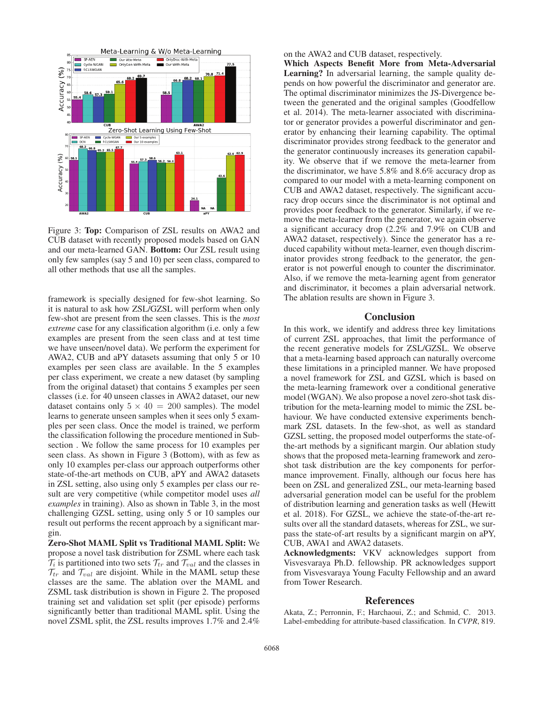

Figure 3: Top: Comparison of ZSL results on AWA2 and CUB dataset with recently proposed models based on GAN and our meta-learned GAN. Bottom: Our ZSL result using only few samples (say 5 and 10) per seen class, compared to all other methods that use all the samples.

framework is specially designed for few-shot learning. So it is natural to ask how ZSL/GZSL will perform when only few-shot are present from the seen classes. This is the *most extreme* case for any classification algorithm (i.e. only a few examples are present from the seen class and at test time we have unseen/novel data). We perform the experiment for AWA2, CUB and aPY datasets assuming that only 5 or 10 examples per seen class are available. In the 5 examples per class experiment, we create a new dataset (by sampling from the original dataset) that contains 5 examples per seen classes (i.e. for 40 unseen classes in AWA2 dataset, our new dataset contains only  $5 \times 40 = 200$  samples). The model learns to generate unseen samples when it sees only 5 examples per seen class. Once the model is trained, we perform the classification following the procedure mentioned in Subsection . We follow the same process for 10 examples per seen class. As shown in Figure 3 (Bottom), with as few as only 10 examples per-class our approach outperforms other state-of-the-art methods on CUB, aPY and AWA2 datasets in ZSL setting, also using only 5 examples per class our result are very competitive (while competitor model uses *all examples* in training). Also as shown in Table 3, in the most challenging GZSL setting, using only 5 or 10 samples our result out performs the recent approach by a significant margin.

Zero-Shot MAML Split vs Traditional MAML Split: We propose a novel task distribution for ZSML where each task  $\mathcal{T}_i$  is partitioned into two sets  $\mathcal{T}_{tr}$  and  $\mathcal{T}_{val}$  and the classes in  $\mathcal{T}_{tr}$  and  $\mathcal{T}_{val}$  are disjoint. While in the MAML setup these classes are the same. The ablation over the MAML and ZSML task distribution is shown in Figure 2. The proposed training set and validation set split (per episode) performs significantly better than traditional MAML split. Using the novel ZSML split, the ZSL results improves 1.7% and 2.4%

on the AWA2 and CUB dataset, respectively.

Which Aspects Benefit More from Meta-Adversarial Learning? In adversarial learning, the sample quality depends on how powerful the discriminator and generator are. The optimal discriminator minimizes the JS-Divergence between the generated and the original samples (Goodfellow et al. 2014). The meta-learner associated with discriminator or generator provides a powerful discriminator and generator by enhancing their learning capability. The optimal discriminator provides strong feedback to the generator and the generator continuously increases its generation capability. We observe that if we remove the meta-learner from the discriminator, we have 5.8% and 8.6% accuracy drop as compared to our model with a meta-learning component on CUB and AWA2 dataset, respectively. The significant accuracy drop occurs since the discriminator is not optimal and provides poor feedback to the generator. Similarly, if we remove the meta-learner from the generator, we again observe a significant accuracy drop (2.2% and 7.9% on CUB and AWA2 dataset, respectively). Since the generator has a reduced capability without meta-learner, even though discriminator provides strong feedback to the generator, the generator is not powerful enough to counter the discriminator. Also, if we remove the meta-learning agent from generator and discriminator, it becomes a plain adversarial network. The ablation results are shown in Figure 3.

# **Conclusion**

In this work, we identify and address three key limitations of current ZSL approaches, that limit the performance of the recent generative models for ZSL/GZSL. We observe that a meta-learning based approach can naturally overcome these limitations in a principled manner. We have proposed a novel framework for ZSL and GZSL which is based on the meta-learning framework over a conditional generative model (WGAN). We also propose a novel zero-shot task distribution for the meta-learning model to mimic the ZSL behaviour. We have conducted extensive experiments benchmark ZSL datasets. In the few-shot, as well as standard GZSL setting, the proposed model outperforms the state-ofthe-art methods by a significant margin. Our ablation study shows that the proposed meta-learning framework and zeroshot task distribution are the key components for performance improvement. Finally, although our focus here has been on ZSL and generalized ZSL, our meta-learning based adversarial generation model can be useful for the problem of distribution learning and generation tasks as well (Hewitt et al. 2018). For GZSL, we achieve the state-of-the-art results over all the standard datasets, whereas for ZSL, we surpass the state-of-art results by a significant margin on aPY, CUB, AWA1 and AWA2 datasets.

Acknowledgments: VKV acknowledges support from Visvesvaraya Ph.D. fellowship. PR acknowledges support from Visvesvaraya Young Faculty Fellowship and an award from Tower Research.

#### References

Akata, Z.; Perronnin, F.; Harchaoui, Z.; and Schmid, C. 2013. Label-embedding for attribute-based classification. In *CVPR*, 819.